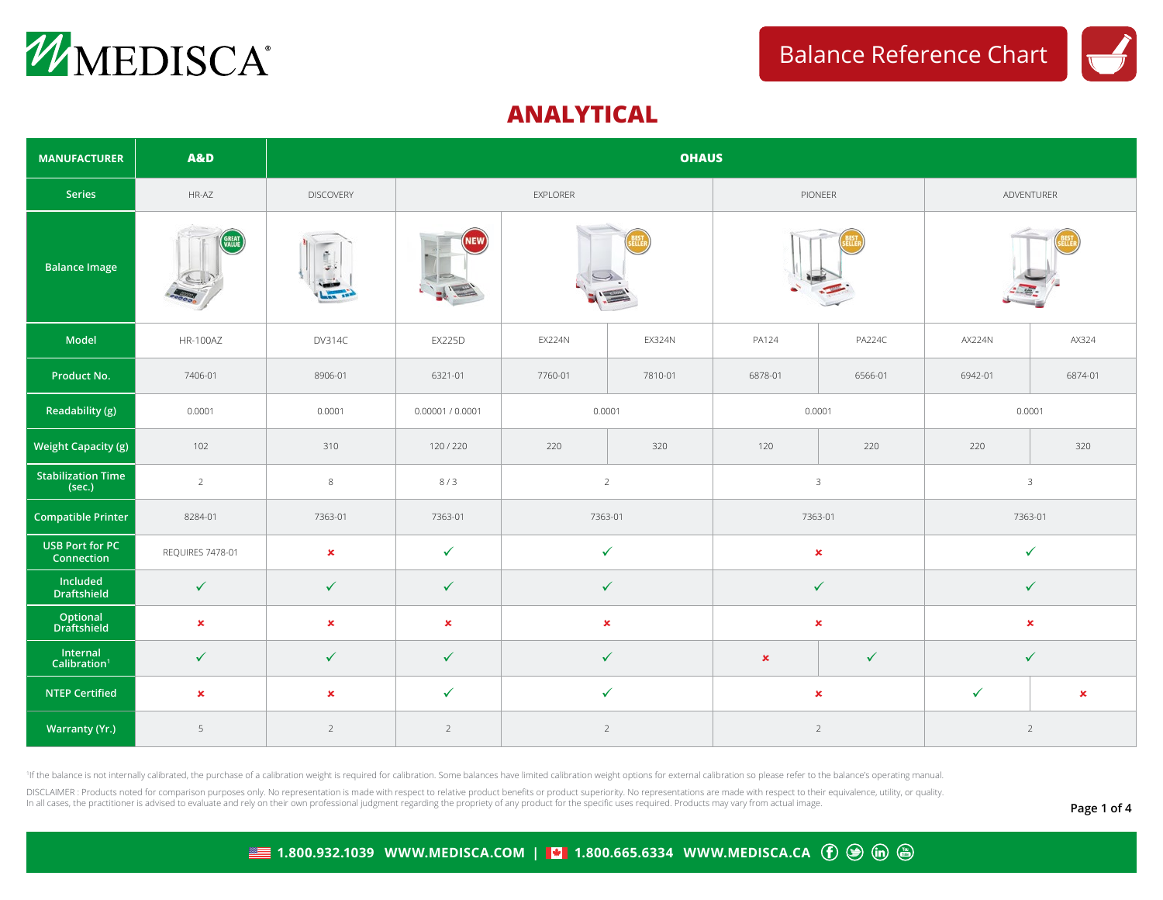



## **ANALYTICAL**

| <b>MANUFACTURER</b>                  | <b>A&amp;D</b>   | <b>OHAUS</b>     |                  |                |               |                                |                |                |                |  |  |  |  |
|--------------------------------------|------------------|------------------|------------------|----------------|---------------|--------------------------------|----------------|----------------|----------------|--|--|--|--|
| Series                               | HR-AZ            | <b>DISCOVERY</b> |                  | EXPLORER       |               | PIONEER                        |                | ADVENTURER     |                |  |  |  |  |
| <b>Balance Image</b>                 | GREAT            | s                | NEW)             |                |               |                                |                |                |                |  |  |  |  |
| Model                                | <b>HR-100AZ</b>  | <b>DV314C</b>    | <b>EX225D</b>    | <b>EX224N</b>  | <b>EX324N</b> | PA124                          | <b>PA224C</b>  | <b>AX224N</b>  | AX324          |  |  |  |  |
| Product No.                          | 7406-01          | 8906-01          | 6321-01          | 7760-01        | 7810-01       | 6878-01                        | 6566-01        | 6942-01        | 6874-01        |  |  |  |  |
| Readability (g)                      | 0.0001           | 0.0001           | 0.00001 / 0.0001 | 0.0001         |               | 0.0001                         |                | 0.0001         |                |  |  |  |  |
| Weight Capacity (g)                  | 102              | 310              | 120/220          | 220<br>320     |               | 120                            | 220            | 220            | 320            |  |  |  |  |
| <b>Stabilization Time</b><br>(sec.)  | $\overline{2}$   | $\,8\,$          | 8/3              | $\overline{2}$ |               | $\mathbf{3}$                   |                | $\mathbf{3}$   |                |  |  |  |  |
| <b>Compatible Printer</b>            | 8284-01          | 7363-01          | 7363-01          | 7363-01        |               | 7363-01                        |                | 7363-01        |                |  |  |  |  |
| <b>USB Port for PC</b><br>Connection | REQUIRES 7478-01 | $\pmb{\times}$   | $\checkmark$     | $\checkmark$   |               | $\pmb{\times}$                 |                | ✓              |                |  |  |  |  |
| Included<br><b>Draftshield</b>       | $\checkmark$     | $\checkmark$     | $\checkmark$     | $\checkmark$   |               | $\checkmark$                   |                | ✓              |                |  |  |  |  |
| Optional<br>Draftshield              | $\pmb{\times}$   | $\pmb{\times}$   | $\pmb{\times}$   | $\pmb{\times}$ |               | $\pmb{\times}$                 |                | $\pmb{\times}$ |                |  |  |  |  |
| Internal<br>Calibration <sup>1</sup> | $\checkmark$     | $\checkmark$     | $\checkmark$     | $\checkmark$   |               | $\checkmark$<br>$\pmb{\times}$ |                | $\checkmark$   |                |  |  |  |  |
| <b>NTEP Certified</b>                | $\pmb{\times}$   | $\pmb{\times}$   | $\checkmark$     | $\checkmark$   |               | $\pmb{\times}$                 |                | $\checkmark$   | $\pmb{\times}$ |  |  |  |  |
| <b>Warranty (Yr.)</b>                | 5                | $\overline{2}$   | $\overline{2}$   | $\overline{2}$ |               |                                | $\overline{2}$ | $\overline{2}$ |                |  |  |  |  |

<sup>1</sup>If the balance is not internally calibrated, the purchase of a calibration weight is required for calibration. Some balances have limited calibration weight options for external calibration so please refer to the balanc

DISCLAIMER: Products noted for comparison purposes only. No representation is made with respect to relative product benefits or product superiority. No representations are made with respect to their equivalence, utility, o In all cases, the practitioner is advised to evaluate and rely on their own professional judgment regarding the propriety of any product for the specific uses required. Products may vary from actual image.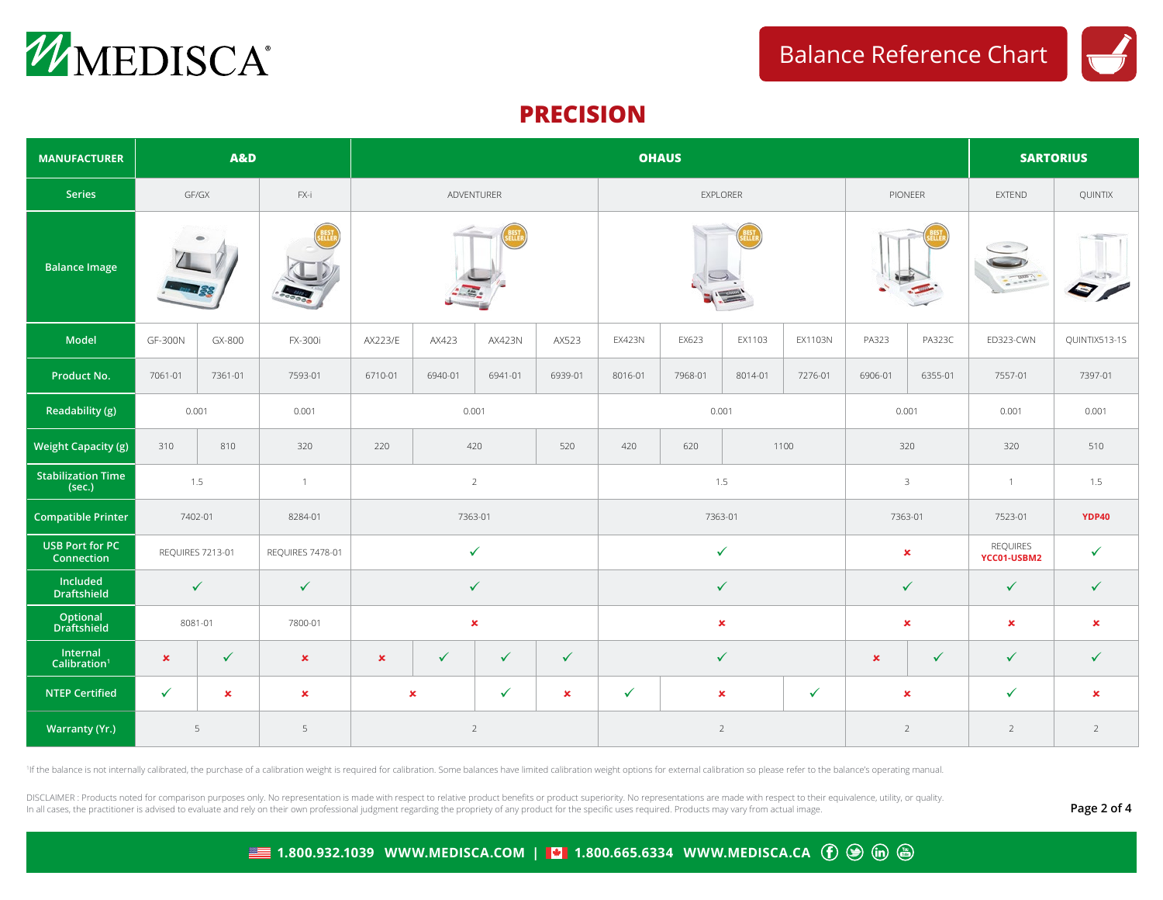



## **PRECISION**

| <b>MANUFACTURER</b>                  |                | <b>A&amp;D</b>   |                  |                |                |               |                |                | <b>OHAUS</b> | <b>SARTORIUS</b> |                |                |                |                                |                |
|--------------------------------------|----------------|------------------|------------------|----------------|----------------|---------------|----------------|----------------|--------------|------------------|----------------|----------------|----------------|--------------------------------|----------------|
| Series                               |                | GF/GX            | FX-i             | ADVENTURER     |                |               | EXPLORER       |                |              |                  | PIONEER        |                | <b>EXTEND</b>  | QUINTIX                        |                |
| <b>Balance Image</b>                 |                |                  |                  |                |                |               |                |                |              |                  |                |                | $-222$         | <b>CLUB</b>                    |                |
| <b>Model</b>                         | <b>GF-300N</b> | GX-800           | FX-300i          | AX223/E        | AX423          | <b>AX423N</b> | AX523          | <b>EX423N</b>  | EX623        | EX1103           | EX1103N        | PA323          | <b>PA323C</b>  | ED323-CWN                      | QUINTIX513-1S  |
| Product No.                          | 7061-01        | 7361-01          | 7593-01          | 6710-01        | 6940-01        | 6941-01       | 6939-01        | 8016-01        | 7968-01      | 8014-01          | 7276-01        | 6906-01        | 6355-01        | 7557-01                        | 7397-01        |
| Readability (g)                      |                | 0.001            | 0.001            | 0.001          |                |               | 0.001          |                |              | 0.001            |                | 0.001          | 0.001          |                                |                |
| <b>Weight Capacity (g)</b>           | 310            | 810              | 320              | 220            |                | 420           | 520            | 420            | 620          |                  | 1100           | 320            |                | 320                            | 510            |
| <b>Stabilization Time</b><br>(sec.)  |                | 1.5              | $\overline{1}$   | $\overline{2}$ |                |               | 1.5            |                |              |                  | $\mathbf{3}$   |                | $\mathbf{1}$   | 1.5                            |                |
| <b>Compatible Printer</b>            |                | 7402-01          | 8284-01          | 7363-01        |                |               | 7363-01        |                |              |                  | 7363-01        |                | 7523-01        | <b>YDP40</b>                   |                |
| <b>USB Port for PC</b><br>Connection |                | REQUIRES 7213-01 | REQUIRES 7478-01 |                | $\checkmark$   |               |                | $\checkmark$   |              |                  |                | $\pmb{\times}$ |                | <b>REQUIRES</b><br>YCC01-USBM2 | $\checkmark$   |
| Included<br><b>Draftshield</b>       |                | $\checkmark$     | $\checkmark$     |                | $\checkmark$   |               |                | $\checkmark$   |              |                  |                | $\checkmark$   |                | $\checkmark$                   | $\checkmark$   |
| Optional<br>Draftshield              |                | 8081-01          | 7800-01          | $\pmb{\times}$ |                |               | $\pmb{\times}$ |                |              |                  | $\pmb{\times}$ |                | $\pmb{\times}$ | $\pmb{\times}$                 |                |
| Internal<br>Calibration <sup>1</sup> | $\pmb{\times}$ | $\checkmark$     | $\pmb{\times}$   | $\pmb{\times}$ | $\checkmark$   | $\checkmark$  | $\checkmark$   |                |              | $\checkmark$     |                | $\pmb{\times}$ | $\checkmark$   | $\checkmark$                   | $\checkmark$   |
| <b>NTEP Certified</b>                | $\checkmark$   | $\mathbf x$      | $\pmb{\times}$   |                | $\pmb{\times}$ | $\checkmark$  | $\mathbf x$    | ✓              |              | $\mathbf x$      | $\checkmark$   | $\mathbf x$    |                | $\checkmark$                   | $\pmb{\times}$ |
| Warranty (Yr.)                       |                | 5                | 5                |                | $\overline{2}$ |               |                | $\overline{2}$ |              |                  | $\overline{2}$ |                | $\overline{2}$ | $\overline{2}$                 |                |

<sup>1</sup>If the balance is not internally calibrated, the purchase of a calibration weight is required for calibration. Some balances have limited calibration weight options for external calibration so please refer to the balanc

DISCLAIMER : Products noted for comparison purposes only. No representation is made with respect to relative product benefits or product superiority. No representations are made with respect to their equivalence, utility, In all cases, the practitioner is advised to evaluate and rely on their own professional judgment regarding the propriety of any product for the specific uses required. Products may vary from actual image.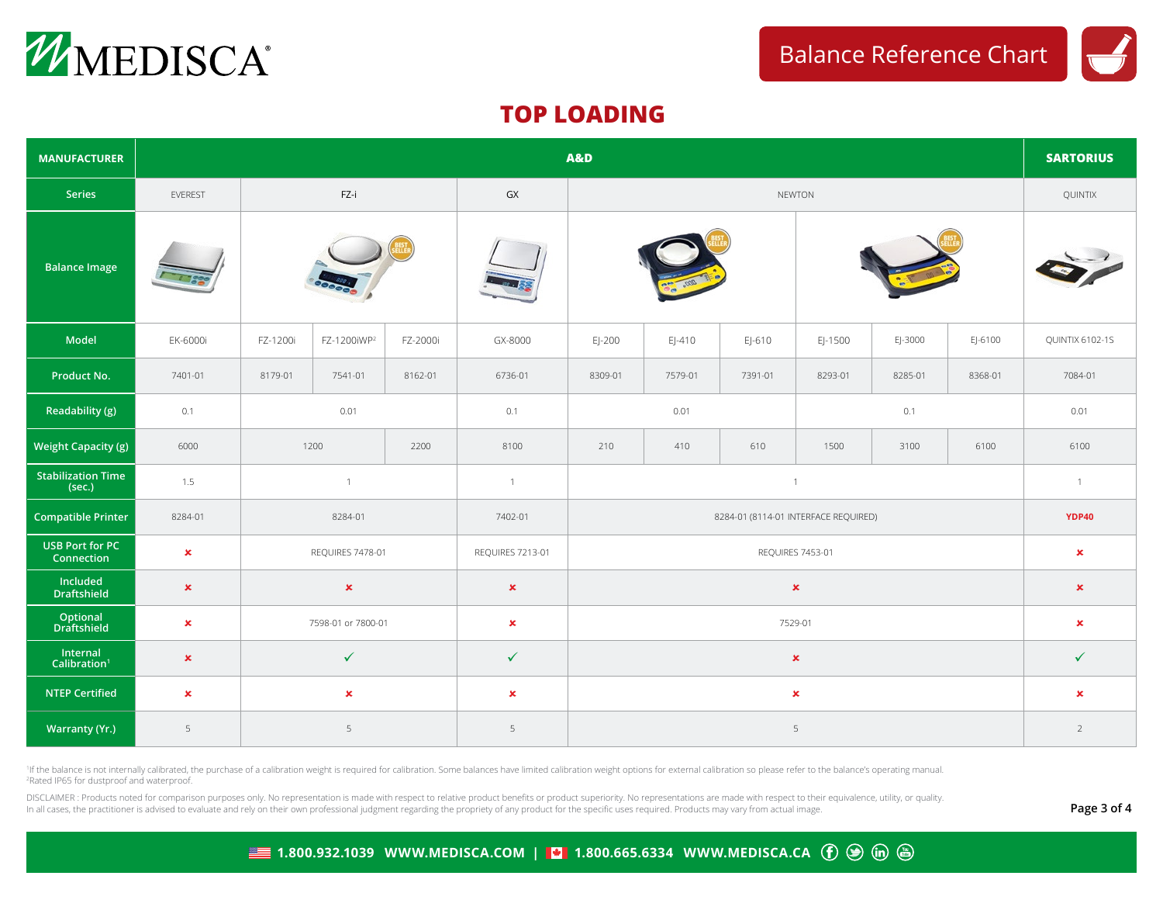



## **TOP LOADING**

| <b>MANUFACTURER</b>                  | <b>A&amp;D</b> |                    |                         |                  |                   |                |                |                |         |         |                |                 |
|--------------------------------------|----------------|--------------------|-------------------------|------------------|-------------------|----------------|----------------|----------------|---------|---------|----------------|-----------------|
| Series                               | EVEREST        | FZ-i               |                         |                  | ${\sf G} {\sf X}$ | <b>NEWTON</b>  |                |                |         |         |                | QUINTIX         |
| <b>Balance Image</b>                 |                |                    |                         |                  |                   |                |                |                |         |         |                |                 |
| Model                                | EK-6000i       | FZ-1200i           | FZ-1200iWP <sup>2</sup> | FZ-2000i         | GX-8000           | $E$ -200       | $E$ -410       | EJ-610         | EJ-1500 | EJ-3000 | EJ-6100        | QUINTIX 6102-1S |
| Product No.                          | 7401-01        | 8179-01            | 7541-01                 | 8162-01          | 6736-01           | 8309-01        | 7579-01        | 7391-01        | 8293-01 | 8285-01 | 8368-01        | 7084-01         |
| Readability (g)                      | 0.1            | 0.01               |                         | 0.1              | 0.01              |                |                | 0.1            |         |         | 0.01           |                 |
| <b>Weight Capacity (g)</b>           | 6000           | 1200<br>2200       |                         | 8100             | 210               | 410            | 610            | 1500           | 3100    | 6100    | 6100           |                 |
| <b>Stabilization Time</b><br>(sec.)  | 1.5            | $\overline{1}$     |                         | $\overline{1}$   | $\overline{1}$    |                |                |                |         |         | $\overline{1}$ |                 |
| <b>Compatible Printer</b>            | 8284-01        | 8284-01            |                         | 7402-01          |                   | <b>YDP40</b>   |                |                |         |         |                |                 |
| <b>USB Port for PC</b><br>Connection | $\pmb{\times}$ | REQUIRES 7478-01   |                         | REQUIRES 7213-01 |                   | $\pmb{\times}$ |                |                |         |         |                |                 |
| Included<br><b>Draftshield</b>       | $\pmb{\times}$ | $\pmb{\times}$     |                         | $\pmb{\times}$   |                   | $\pmb{\times}$ |                |                |         |         |                |                 |
| Optional<br>Draftshield              | $\pmb{\times}$ | 7598-01 or 7800-01 |                         | $\pmb{\times}$   | 7529-01           |                |                |                |         |         | $\pmb{\times}$ |                 |
| Internal<br>Calibration <sup>1</sup> | $\pmb{\times}$ | $\checkmark$       |                         |                  | $\checkmark$      |                | $\checkmark$   |                |         |         |                |                 |
| <b>NTEP Certified</b>                | $\pmb{\times}$ | $\pmb{\times}$     |                         |                  | $\pmb{\times}$    |                |                | $\pmb{\times}$ |         |         |                |                 |
| <b>Warranty (Yr.)</b>                | 5              |                    | 5                       |                  | 5                 |                | $\overline{2}$ |                |         |         |                |                 |

<sup>1</sup>If the balance is not internally calibrated, the purchase of a calibration weight is required for calibration. Some balances have limited calibration weight options for external calibration so please refer to the balanc 2 Rated IP65 for dustproof and waterproof.

DISCLAIMER : Products noted for comparison purposes only. No representation is made with respect to relative product benefits or product superiority. No representations are made with respect to their equivalence, utility, In all cases, the practitioner is advised to evaluate and rely on their own professional judgment regarding the propriety of any product for the specific uses required. Products may vary from actual image.